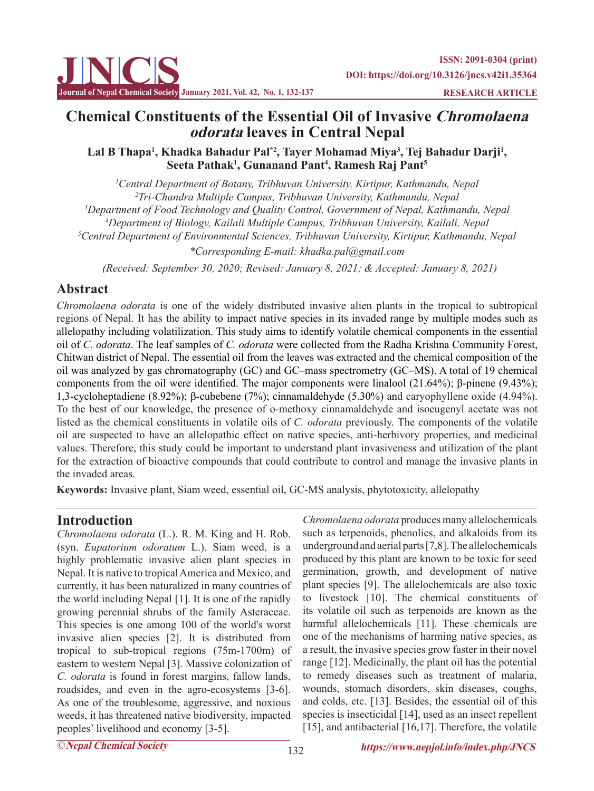

# **Chemical Constituents of the Essential Oil of Invasive Chromolaena odorata leaves in Central Nepal**

### Lal B Thapa<sup>1</sup>, Khadka Bahadur Pal\*<sup>2</sup>, Tayer Mohamad Miya<sup>3</sup>, Tej Bahadur Darji<sup>1</sup>, **Seeta Pathak1 , Gunanand Pant4 , Ramesh Raj Pant5**

 *Central Department of Botany, Tribhuvan University, Kirtipur, Kathmandu, Nepal Tri-Chandra Multiple Campus, Tribhuvan University, Kathmandu, Nepal Department of Food Technology and Quality Control, Government of Nepal, Kathmandu, Nepal Department of Biology, Kailali Multiple Campus, Tribhuvan University, Kailali, Nepal Central Department of Environmental Sciences, Tribhuvan University, Kirtipur, Kathmandu, Nepal*

*\*Corresponding E-mail: khadka.pal@gmail.com*

 *(Received: September 30, 2020; Revised: January 8, 2021; & Accepted: January 8, 2021)*

# **Abstract**

*Chromolaena odorata* is one of the widely distributed invasive alien plants in the tropical to subtropical regions of Nepal. It has the ability to impact native species in its invaded range by multiple modes such as allelopathy including volatilization. This study aims to identify volatile chemical components in the essential oil of *C. odorata*. The leaf samples of *C. odorata* were collected from the Radha Krishna Community Forest, Chitwan district of Nepal. The essential oil from the leaves was extracted and the chemical composition of the oil was analyzed by gas chromatography (GC) and GC–mass spectrometry (GC–MS). A total of 19 chemical components from the oil were identified. The major components were linalool (21.64%); β-pinene (9.43%); 1,3-cycloheptadiene (8.92%); β-cubebene (7%); cinnamaldehyde (5.30%) and caryophyllene oxide (4.94%). To the best of our knowledge, the presence of o-methoxy cinnamaldehyde and isoeugenyl acetate was not listed as the chemical constituents in volatile oils of *C. odorata* previously. The components of the volatile oil are suspected to have an allelopathic effect on native species, anti-herbivory properties, and medicinal values. Therefore, this study could be important to understand plant invasiveness and utilization of the plant for the extraction of bioactive compounds that could contribute to control and manage the invasive plants in the invaded areas.

**Keywords:** Invasive plant, Siam weed, essential oil, GC-MS analysis, phytotoxicity, allelopathy

# **Introduction**

*Chromolaena odorata* (L.). R. M. King and H. Rob. (syn. *Eupatorium odoratum* L.), Siam weed, is a highly problematic invasive alien plant species in Nepal. It is native to tropical America and Mexico, and currently, it has been naturalized in many countries of the world including Nepal [1]. It is one of the rapidly growing perennial shrubs of the family Asteraceae. This species is one among 100 of the world's worst invasive alien species [2]. It is distributed from tropical to sub-tropical regions (75m-1700m) of eastern to western Nepal [3]. Massive colonization of *C. odorata* is found in forest margins, fallow lands, roadsides, and even in the agro-ecosystems [3-6]. As one of the troublesome, aggressive, and noxious weeds, it has threatened native biodiversity, impacted peoples' livelihood and economy [3-5].

*Chromolaena odorata* produces many allelochemicals such as terpenoids, phenolics, and alkaloids from its underground and aerial parts [7,8]. The allelochemicals produced by this plant are known to be toxic for seed germination, growth, and development of native plant species [9]. The allelochemicals are also toxic to livestock [10]. The chemical constituents of its volatile oil such as terpenoids are known as the harmful allelochemicals [11]. These chemicals are one of the mechanisms of harming native species, as a result, the invasive species grow faster in their novel range [12]. Medicinally, the plant oil has the potential to remedy diseases such as treatment of malaria, wounds, stomach disorders, skin diseases, coughs, and colds, etc. [13]. Besides, the essential oil of this species is insecticidal [14], used as an insect repellent [15], and antibacterial [16,17]. Therefore, the volatile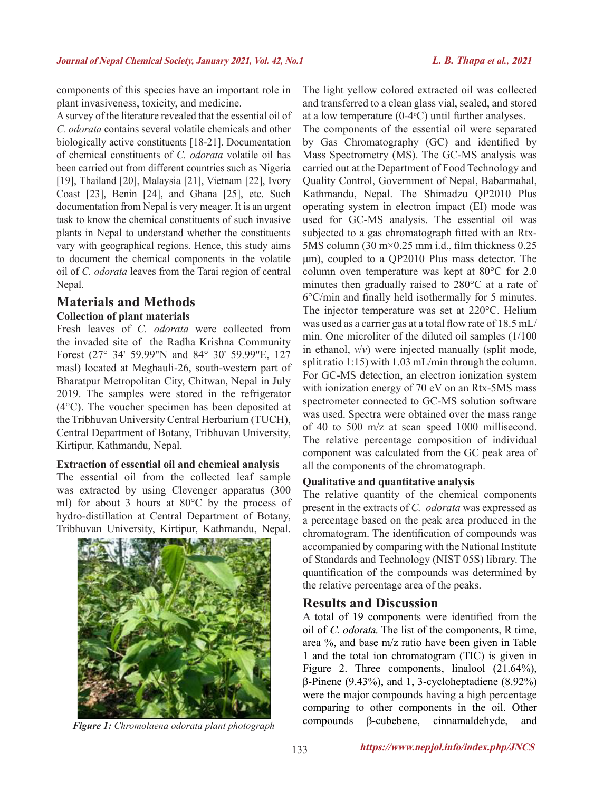components of this species have an important role in plant invasiveness, toxicity, and medicine.

A survey of the literature revealed that the essential oil of *C. odorata* contains several volatile chemicals and other biologically active constituents [18-21]. Documentation of chemical constituents of *C. odorata* volatile oil has been carried out from different countries such as Nigeria [19], Thailand [20], Malaysia [21], Vietnam [22], Ivory Coast [23], Benin [24], and Ghana [25], etc. Such documentation from Nepal is very meager. It is an urgent task to know the chemical constituents of such invasive plants in Nepal to understand whether the constituents vary with geographical regions. Hence, this study aims to document the chemical components in the volatile oil of *C. odorata* leaves from the Tarai region of central Nepal.

### **Materials and Methods Collection of plant materials**

Fresh leaves of *C. odorata* were collected from the invaded site of the Radha Krishna Community Forest (27° 34' 59.99"N and 84° 30' 59.99"E, 127 masl) located at Meghauli-26, south-western part of Bharatpur Metropolitan City, Chitwan, Nepal in July 2019. The samples were stored in the refrigerator (4°C). The voucher specimen has been deposited at the Tribhuvan University Central Herbarium (TUCH), Central Department of Botany, Tribhuvan University, Kirtipur, Kathmandu, Nepal.

#### **Extraction of essential oil and chemical analysis**

The essential oil from the collected leaf sample was extracted by using Clevenger apparatus (300 ml) for about 3 hours at 80°C by the process of hydro-distillation at Central Department of Botany, Tribhuvan University, Kirtipur, Kathmandu, Nepal.



The light yellow colored extracted oil was collected and transferred to a clean glass vial, sealed, and stored at a low temperature  $(0-4$ <sup>o</sup>C) until further analyses.

The components of the essential oil were separated by Gas Chromatography (GC) and identified by Mass Spectrometry (MS). The GC-MS analysis was carried out at the Department of Food Technology and Quality Control, Government of Nepal, Babarmahal, Kathmandu, Nepal. The Shimadzu QP2010 Plus operating system in electron impact (EI) mode was used for GC-MS analysis. The essential oil was subjected to a gas chromatograph fitted with an Rtx-5MS column (30 m×0.25 mm i.d., film thickness 0.25 μm), coupled to a QP2010 Plus mass detector. The column oven temperature was kept at 80°C for 2.0 minutes then gradually raised to 280°C at a rate of 6°C/min and finally held isothermally for 5 minutes. The injector temperature was set at 220°C. Helium was used as a carrier gas at a total flow rate of 18.5 mL/ min. One microliter of the diluted oil samples (1/100 in ethanol, *v*/*v*) were injected manually (split mode, split ratio 1:15) with 1.03 mL/min through the column. For GC-MS detection, an electron ionization system with ionization energy of 70 eV on an Rtx-5MS mass spectrometer connected to GC-MS solution software was used. Spectra were obtained over the mass range of 40 to 500 m/z at scan speed 1000 millisecond. The relative percentage composition of individual component was calculated from the GC peak area of all the components of the chromatograph.

#### **Qualitative and quantitative analysis**

The relative quantity of the chemical components present in the extracts of *C. odorata* was expressed as a percentage based on the peak area produced in the chromatogram. The identification of compounds was accompanied by comparing with the National Institute of Standards and Technology (NIST 05S) library. The quantification of the compounds was determined by the relative percentage area of the peaks.

### **Results and Discussion**

A total of 19 components were identified from the oil of C. odorata. The list of the components, R time, area %, and base m/z ratio have been given in Table 1 and the total ion chromatogram (TIC) is given in Figure 2. Three components, linalool  $(21.64\%)$ , β-Pinene (9.43%), and 1, 3-cycloheptadiene (8.92%) were the major compounds having a high percentage comparing to other components in the oil. Other compounds β-cubebene, cinnamaldehyde, and *Figure 1: Chromolaena odorata plant photograph*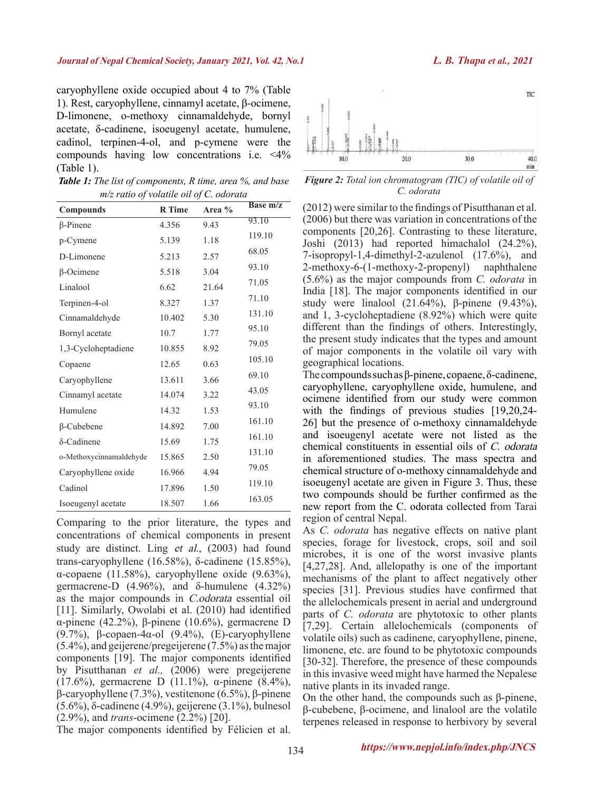caryophyllene oxide occupied about 4 to 7% (Table 1). Rest, caryophyllene, cinnamyl acetate, β-ocimene, D-limonene, o-methoxy cinnamaldehyde, bornyl acetate, δ-cadinene, isoeugenyl acetate, humulene, cadinol, terpinen-4-ol, and p-cymene were the compounds having low concentrations i.e. <4% (Table 1).

| <b>Table 1:</b> The list of components, R time, area %, and base |  |
|------------------------------------------------------------------|--|
| $m/z$ ratio of volatile oil of C. odorata                        |  |

| Compounds               | <b>R</b> Time | Area % | <b>Base m/z</b> |
|-------------------------|---------------|--------|-----------------|
| $\beta$ -Pinene         | 4.356         | 9.43   | 93.10           |
| p-Cymene                | 5.139         | 1.18   | 119.10          |
| D-Limonene              | 5.213         | 2.57   | 68.05           |
| $\beta$ -Ocimene        | 5.518         | 3.04   | 93.10           |
| Linalool                | 6.62          | 21.64  | 71.05           |
| Terpinen-4-ol           | 8.327         | 1.37   | 71.10           |
| Cinnamaldehyde          | 10.402        | 5.30   | 131.10          |
| Bornyl acetate          | 10.7          | 1.77   | 95.10           |
| 1,3-Cycloheptadiene     | 10.855        | 8.92   | 79.05           |
| Copaene                 | 12.65         | 0.63   | 105.10          |
| Caryophyllene           | 13.611        | 3.66   | 69.10           |
| Cinnamyl acetate        | 14.074        | 3.22   | 43.05           |
| Humulene                | 14.32         | 1.53   | 93.10           |
| $\beta$ -Cubebene       | 14.892        | 7.00   | 161.10          |
| δ-Cadinene              | 15.69         | 1.75   | 161.10          |
| o-Methoxycinnamaldehyde | 15.865        | 2.50   | 131.10          |
| Caryophyllene oxide     | 16.966        | 4.94   | 79.05           |
| Cadinol                 | 17.896        | 1.50   | 119.10          |
| Isoeugenyl acetate      | 18.507        | 1.66   | 163.05          |

Comparing to the prior literature, the types and concentrations of chemical components in present study are distinct. Ling et al., (2003) had found trans-caryophyllene (16.58%), δ-cadinene (15.85%), α-copaene (11.58%), caryophyllene oxide (9.63%), germacrene-D (4.96%), and δ-humulene  $(4.32%)$ as the major compounds in C.odorata essential oil [11]. Similarly, Owolabi et al. (2010) had identified α-pinene (42.2%), β-pinene (10.6%), germacrene D (9.7%), β-copaen-4α-ol (9.4%), (E)-caryophyllene (5.4%), and geijerene/pregeijerene (7.5%) as the major components [19]. The major components identified by Pisutthanan *et al.,* (2006) were pregeijerene (17.6%), germacrene D (11.1%), α-pinene (8.4%), β-caryophyllene (7.3%), vestitenone (6.5%), β-pinene (5.6%), δ-cadinene (4.9%), geijerene (3.1%), bulnesol (2.9%), and *trans*-ocimene (2.2%) [20].

**TIC**  $20.0$ 30.0  $40.0$ min

*Figure 2: Total ion chromatogram (TIC) of volatile oil of C. odorata*

(2012) were similar to the findings of Pisutthanan et al. (2006) but there was variation in concentrations of the components [20,26]. Contrasting to these literature, Joshi (2013) had reported himachalol (24.2%), 7-isopropyl-1,4-dimethyl-2-azulenol (17.6%), and 2-methoxy-6-(1-methoxy-2-propenyl) naphthalene (5.6%) as the major compounds from *C. odorata* in India [18]. The major components identified in our study were linalool  $(21.64\%)$ , β-pinene  $(9.43\%)$ , and 1, 3-cycloheptadiene (8.92%) which were quite different than the findings of others. Interestingly, the present study indicates that the types and amount of major components in the volatile oil vary with geographical locations.

The compounds such as β-pinene, copaene, δ-cadinene, caryophyllene, caryophyllene oxide, humulene, and ocimene identified from our study were common with the findings of previous studies [19,20,24-26] but the presence of o-methoxy cinnamaldehyde and isoeugenyl acetate were not listed as the chemical constituents in essential oils of C. odorata in aforementioned studies. The mass spectra and chemical structure of o-methoxy cinnamaldehyde and isoeugenyl acetate are given in Figure 3. Thus, these two compounds should be further confirmed as the new report from the C. odorata collected from Tarai region of central Nepal.

As *C. odorata* has negative effects on native plant species, forage for livestock, crops, soil and soil microbes, it is one of the worst invasive plants [4,27,28]. And, allelopathy is one of the important mechanisms of the plant to affect negatively other species [31]. Previous studies have confirmed that the allelochemicals present in aerial and underground parts of *C. odorata* are phytotoxic to other plants [7,29]. Certain allelochemicals (components of volatile oils) such as cadinene, caryophyllene, pinene, limonene, etc. are found to be phytotoxic compounds [30-32]. Therefore, the presence of these compounds in this invasive weed might have harmed the Nepalese native plants in its invaded range.

On the other hand, the compounds such as β-pinene, β-cubebene, β-ocimene, and linalool are the volatile terpenes released in response to herbivory by several

The major components identified by Félicien et al.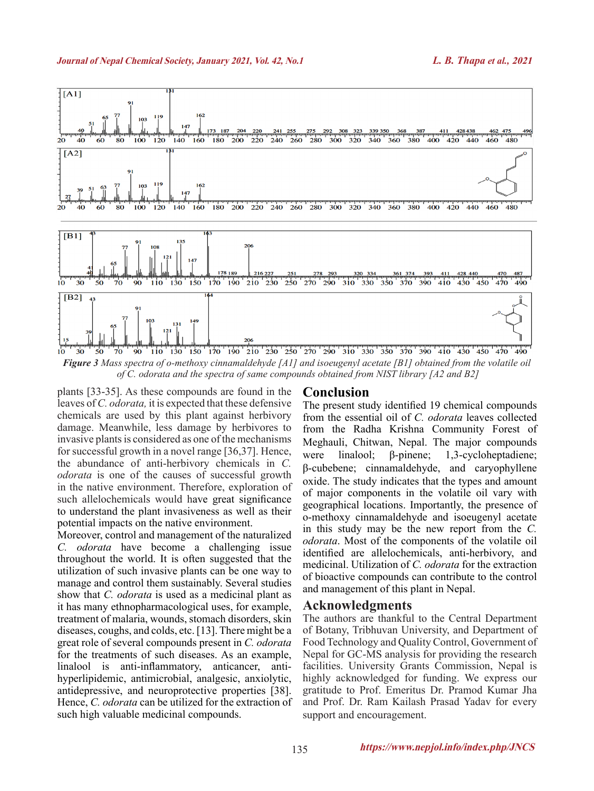

*Figure 3 Mass spectra of o-methoxy cinnamaldehyde [A1] and isoeugenyl acetate [B1] obtained from the volatile oil of C. odorata and the spectra of same compounds obtained from NIST library [A2 and B2]*

plants [33-35]. As these compounds are found in the leaves of *C. odorata,* it is expected that these defensive chemicals are used by this plant against herbivory damage. Meanwhile, less damage by herbivores to invasive plants is considered as one of the mechanisms for successful growth in a novel range [36,37]. Hence, the abundance of anti-herbivory chemicals in *C. odorata* is one of the causes of successful growth in the native environment. Therefore, exploration of such allelochemicals would have great significance to understand the plant invasiveness as well as their potential impacts on the native environment.

Moreover, control and management of the naturalized *C. odorata* have become a challenging issue throughout the world. It is often suggested that the utilization of such invasive plants can be one way to manage and control them sustainably. Several studies show that *C. odorata* is used as a medicinal plant as it has many ethnopharmacological uses, for example, treatment of malaria, wounds, stomach disorders, skin diseases, coughs, and colds, etc. [13]. There might be a great role of several compounds present in *C. odorata*  for the treatments of such diseases. As an example, linalool is anti-inflammatory, anticancer, antihyperlipidemic, antimicrobial, analgesic, anxiolytic, antidepressive, and neuroprotective properties [38]. Hence, *C. odorata* can be utilized for the extraction of such high valuable medicinal compounds.

## **Conclusion**

The present study identified 19 chemical compounds from the essential oil of *C. odorata* leaves collected from the Radha Krishna Community Forest of Meghauli, Chitwan, Nepal. The major compounds were linalool; β-pinene; 1,3-cycloheptadiene; β-cubebene; cinnamaldehyde, and caryophyllene oxide. The study indicates that the types and amount of major components in the volatile oil vary with geographical locations. Importantly, the presence of o-methoxy cinnamaldehyde and isoeugenyl acetate in this study may be the new report from the *C. odorata*. Most of the components of the volatile oil identified are allelochemicals, anti-herbivory, and medicinal. Utilization of *C. odorata* for the extraction of bioactive compounds can contribute to the control and management of this plant in Nepal.

### **Acknowledgments**

The authors are thankful to the Central Department of Botany, Tribhuvan University, and Department of Food Technology and Quality Control, Government of Nepal for GC-MS analysis for providing the research facilities. University Grants Commission, Nepal is highly acknowledged for funding. We express our gratitude to Prof. Emeritus Dr. Pramod Kumar Jha and Prof. Dr. Ram Kailash Prasad Yadav for every support and encouragement.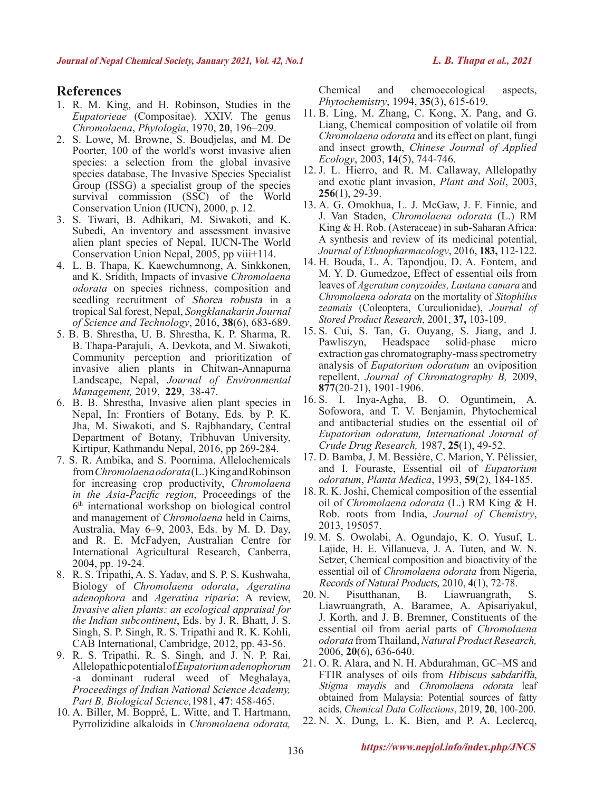# **References**

- 1. R. M. King, and H. Robinson, Studies in the *Eupatorieae* (Compositae). XXIV. The genus *Chromolaena*, *Phytologia*, 1970, **20**, 196–209.
- 2. S. Lowe, M. Browne, S. Boudjelas, and M. De Poorter, 100 of the world's worst invasive alien species: a selection from the global invasive species database, The Invasive Species Specialist Group (ISSG) a specialist group of the species survival commission (SSC) of the World Conservation Union (IUCN), 2000, p. 12.
- 3. S. Tiwari, B. Adhikari, M. Siwakoti, and K. Subedi, An inventory and assessment invasive alien plant species of Nepal, IUCN-The World Conservation Union Nepal, 2005, pp viii+114.
- 4. L. B. Thapa, K. Kaewchumnong, A. Sinkkonen, and K. Sridith, Impacts of invasive *Chromolaena odorata* on species richness, composition and seedling recruitment of Shorea robusta in a tropical Sal forest, Nepal, *Songklanakarin Journal of Science and Technology*, 2016, **38**(6), 683-689.
- 5. B. B. Shrestha, U. B. Shrestha, K. P. Sharma, R. B. Thapa-Parajuli, A. Devkota, and M. Siwakoti, Community perception and prioritization of invasive alien plants in Chitwan-Annapurna Landscape, Nepal, *Journal of Environmental Management,* 2019, **229**, 38-47.
- 6. B. B. Shrestha, Invasive alien plant species in Nepal, In: Frontiers of Botany, Eds. by P. K. Jha, M. Siwakoti, and S. Rajbhandary, Central Department of Botany, Tribhuvan University, Kirtipur, Kathmandu Nepal, 2016, pp 269-284.
- 7. S. R. Ambika, and S. Poornima, Allelochemicals from *Chromolaena odorata* (L.) King and Robinson for increasing crop productivity, *Chromolaena in the Asia-Pacific region*, Proceedings of the 6th international workshop on biological control and management of *Chromolaena* held in Cairns, Australia, May 6–9, 2003, Eds. by M. D. Day, and R. E. McFadyen, Australian Centre for International Agricultural Research, Canberra, 2004, pp. 19-24.
- 8. R. S. Tripathi, A. S. Yadav, and S. P. S. Kushwaha, Biology of *Chromolaena odorata*, *Ageratina adenophora* and *Ageratina riparia*: A review, *Invasive alien plants: an ecological appraisal for the Indian subcontinent*, Eds. by J. R. Bhatt, J. S. Singh, S. P. Singh, R. S. Tripathi and R. K. Kohli, CAB International, Cambridge, 2012, pp. 43-56.
- 9. R. S. Tripathi, R. S. Singh, and J. N. P. Rai, Allelopathic potential of *Eupatorium adenophorum* -a dominant ruderal weed of Meghalaya, *Proceedings of Indian National Science Academy, Part B, Biological Science,*1981, **47**: 458-465.
- 10. A. Biller, M. Boppré, L. Witte, and T. Hartmann, Pyrrolizidine alkaloids in *Chromolaena odorata,*

Chemical and chemoecological aspects, *Phytochemistry*, 1994, **35**(3), 615-619.

- 11. B. Ling, M. Zhang, C. Kong, X. Pang, and G. Liang, Chemical composition of volatile oil from *Chromolaena odorata* and its effect on plant, fungi and insect growth, *Chinese Journal of Applied Ecology*, 2003, **14**(5), 744-746.
- 12. J. L. Hierro, and R. M. Callaway, Allelopathy and exotic plant invasion, *Plant and Soil*, 2003, **256**(1), 29-39.
- 13. A. G. Omokhua, L. J. McGaw, J. F. Finnie, and J. Van Staden, *Chromolaena odorata* (L.) RM King & H. Rob. (Asteraceae) in sub-Saharan Africa: A synthesis and review of its medicinal potential, *Journal of Ethnopharmacology*, 2016, **183,** 112-122.
- 14. H. Bouda, L. A. Tapondjou, D. A. Fontem, and M. Y. D. Gumedzoe, Effect of essential oils from leaves of *Ageratum conyzoides, Lantana camara* and *Chromolaena odorata* on the mortality of *Sitophilus zeamais* (Coleoptera, Curculionidae), *Journal of Stored Product Research*, 2001, **37,** 103-109.
- 15. S. Cui, S. Tan, G. Ouyang, S. Jiang, and J. Pawliszyn, Headspace solid-phase micro extraction gas chromatography-mass spectrometry analysis of *Eupatorium odoratum* an oviposition repellent, *Journal of Chromatography B,* 2009, **877**(20-21), 1901-1906.
- 16. S. I. Inya-Agha, B. O. Oguntimein, A. Sofowora, and T. V. Benjamin, Phytochemical and antibacterial studies on the essential oil of *Eupatorium odoratum, International Journal of Crude Drug Research,* 1987, **25**(1), 49-52.
- 17. D. Bamba, J. M. Bessière, C. Marion, Y. Pélissier, and I. Fouraste, Essential oil of *Eupatorium odoratum*, *Planta Medica*, 1993, **59**(2), 184-185.
- 18. R. K. Joshi, Chemical composition of the essential oil of *Chromolaena odorata* (L.) RM King & H. Rob. roots from India, *Journal of Chemistry*, 2013, 195057.
- 19. M. S. Owolabi, A. Ogundajo, K. O. Yusuf, L. Lajide, H. E. Villanueva, J. A. Tuten, and W. N. Setzer, Chemical composition and bioactivity of the essential oil of *Chromolaena odorata* from Nigeria, Records of Natural Products, 2010, **4**(1), 72-78.
- 20. N. Pisutthanan, B. Liawruangrath, S. Liawruangrath, A. Baramee, A. Apisariyakul, J. Korth, and J. B. Bremner, Constituents of the essential oil from aerial parts of *Chromolaena odorata* from Thailand, *Natural Product Research,* 2006, **20**(6), 636-640.
- 21. O. R. Alara, and N. H. Abdurahman, GC–MS and FTIR analyses of oils from *Hibiscus sabdariffa*, Stigma maydis and Chromolaena odorata leaf obtained from Malaysia: Potential sources of fatty acids, *Chemical Data Collections*, 2019, **20**, 100-200.
- 22. N. X. Dung, L. K. Bien, and P. A. Leclercq,